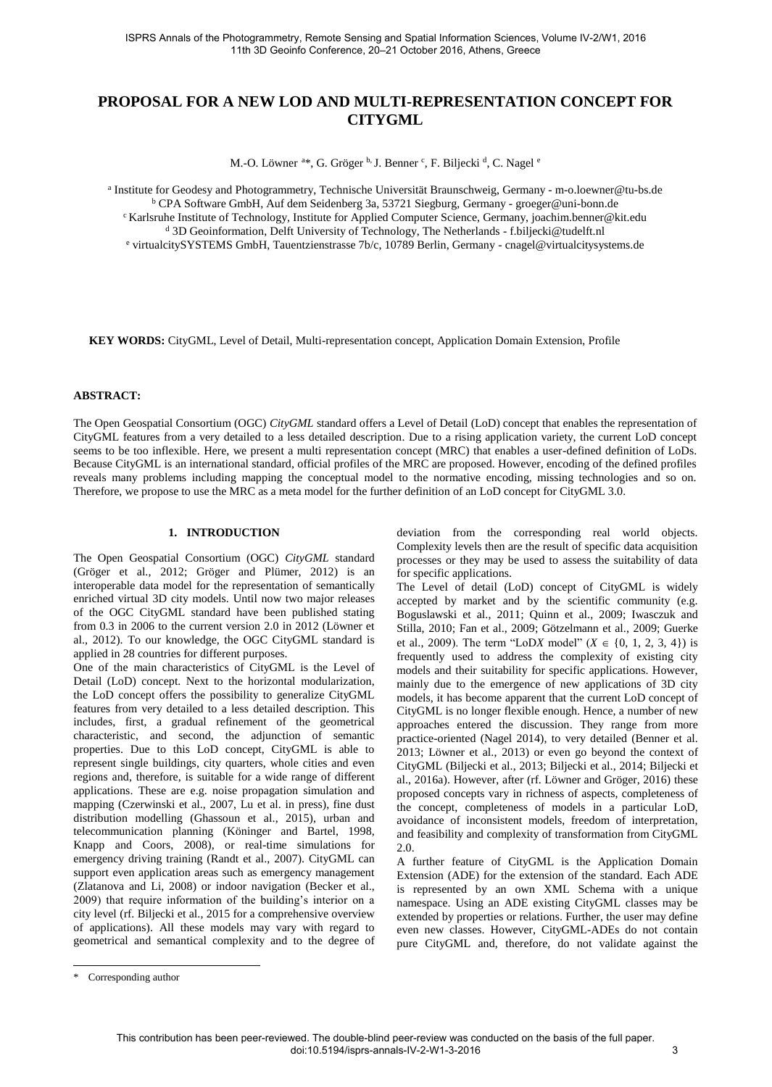# **PROPOSAL FOR A NEW LOD AND MULTI-REPRESENTATION CONCEPT FOR CITYGML**

M.-O. Löwner <sup>a\*</sup>, G. Gröger <sup>b,</sup> J. Benner <sup>c</sup>, F. Biljecki <sup>d</sup>, C. Nagel <sup>e</sup>

a Institute for Geodesy and Photogrammetry, Technische Universität Braunschweig, Germany - m-o.loewner@tu-bs.de b CPA Software GmbH, Auf dem Seidenberg 3a, 53721 Siegburg, Germany - [groeger@uni-bonn.de](mailto:groeger@uni-bonn.de) <sup>c</sup> Karlsruhe Institute of Technology, Institute for Applied Computer Science, Germany, joachim.benner@kit.edu <sup>d</sup> 3D Geoinformation, Delft University of Technology, The Netherlands [- f.biljecki@tudelft.nl](mailto:f.biljecki@tudelft.nl) e virtualcitySYSTEMS GmbH, Tauentzienstrasse 7b/c, 10789 Berlin, Germany - cnagel@virtualcitysystems.de

**KEY WORDS:** CityGML, Level of Detail, Multi-representation concept, Application Domain Extension, Profile

## **ABSTRACT:**

The Open Geospatial Consortium (OGC) *CityGML* standard offers a Level of Detail (LoD) concept that enables the representation of CityGML features from a very detailed to a less detailed description. Due to a rising application variety, the current LoD concept seems to be too inflexible. Here, we present a multi representation concept (MRC) that enables a user-defined definition of LoDs. Because CityGML is an international standard, official profiles of the MRC are proposed. However, encoding of the defined profiles reveals many problems including mapping the conceptual model to the normative encoding, missing technologies and so on. Therefore, we propose to use the MRC as a meta model for the further definition of an LoD concept for CityGML 3.0.

#### **1. INTRODUCTION**

The Open Geospatial Consortium (OGC) *CityGML* standard (Gröger et al., 2012; Gröger and Plümer, 2012) is an interoperable data model for the representation of semantically enriched virtual 3D city models. Until now two major releases of the OGC CityGML standard have been published stating from 0.3 in 2006 to the current version 2.0 in 2012 (Löwner et al., 2012). To our knowledge, the OGC CityGML standard is applied in 28 countries for different purposes.

One of the main characteristics of CityGML is the Level of Detail (LoD) concept. Next to the horizontal modularization, the LoD concept offers the possibility to generalize CityGML features from very detailed to a less detailed description. This includes, first, a gradual refinement of the geometrical characteristic, and second, the adjunction of semantic properties. Due to this LoD concept, CityGML is able to represent single buildings, city quarters, whole cities and even regions and, therefore, is suitable for a wide range of different applications. These are e.g. noise propagation simulation and mapping (Czerwinski et al., 2007, Lu et al. in press), fine dust distribution modelling (Ghassoun et al., 2015), urban and telecommunication planning (Köninger and Bartel, 1998, Knapp and Coors, 2008), or real-time simulations for emergency driving training (Randt et al., 2007). CityGML can support even application areas such as emergency management (Zlatanova and Li, 2008) or indoor navigation (Becker et al., 2009) that require information of the building's interior on a city level (rf. Biljecki et al., 2015 for a comprehensive overview of applications). All these models may vary with regard to geometrical and semantical complexity and to the degree of deviation from the corresponding real world objects. Complexity levels then are the result of specific data acquisition processes or they may be used to assess the suitability of data for specific applications.

The Level of detail (LoD) concept of CityGML is widely accepted by market and by the scientific community (e.g. Boguslawski et al., 2011; Quinn et al., 2009; Iwasczuk and Stilla, 2010; Fan et al., 2009; Götzelmann et al., 2009; Guerke et al., 2009). The term "LoD*X* model"  $(X \in \{0, 1, 2, 3, 4\})$  is frequently used to address the complexity of existing city models and their suitability for specific applications. However, mainly due to the emergence of new applications of 3D city models, it has become apparent that the current LoD concept of CityGML is no longer flexible enough. Hence, a number of new approaches entered the discussion. They range from more practice-oriented (Nagel 2014), to very detailed (Benner et al. 2013; Löwner et al., 2013) or even go beyond the context of CityGML (Biljecki et al., 2013; Biljecki et al., 2014; Biljecki et al., 2016a). However, after (rf. Löwner and Gröger, 2016) these proposed concepts vary in richness of aspects, completeness of the concept, completeness of models in a particular LoD, avoidance of inconsistent models, freedom of interpretation, and feasibility and complexity of transformation from CityGML 2.0.

A further feature of CityGML is the Application Domain Extension (ADE) for the extension of the standard. Each ADE is represented by an own XML Schema with a unique namespace. Using an ADE existing CityGML classes may be extended by properties or relations. Further, the user may define even new classes. However, CityGML-ADEs do not contain pure CityGML and, therefore, do not validate against the

<sup>\*</sup> Corresponding author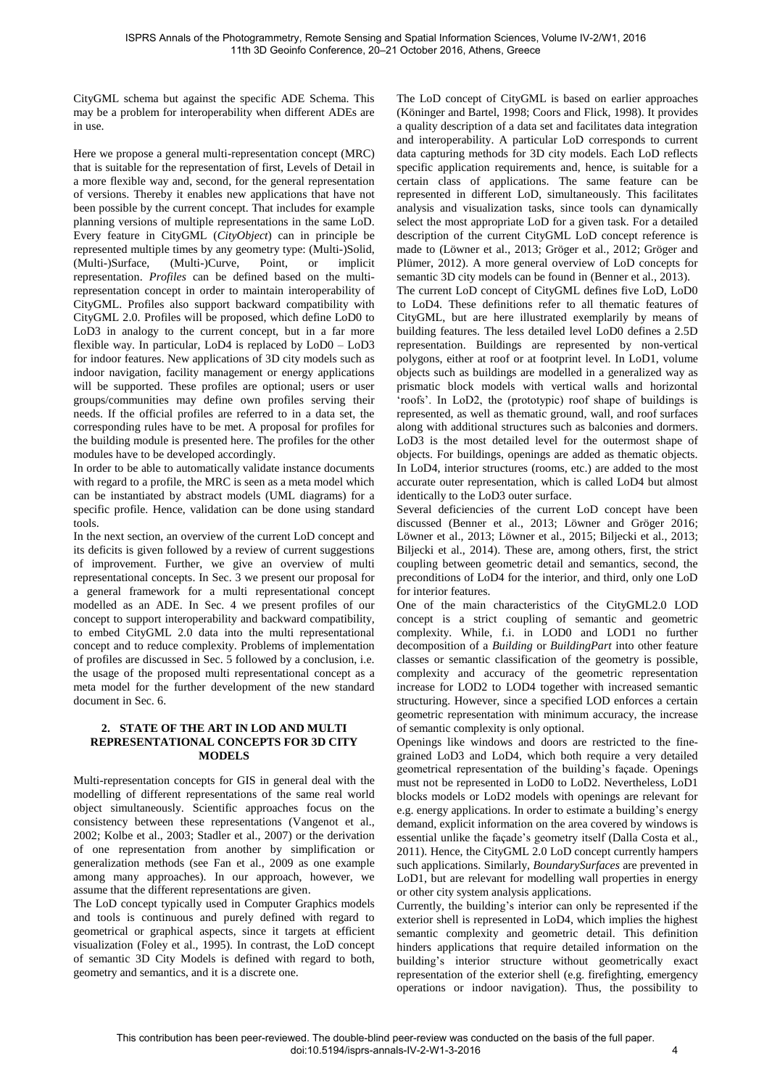CityGML schema but against the specific ADE Schema. This may be a problem for interoperability when different ADEs are in use.

Here we propose a general multi-representation concept (MRC) that is suitable for the representation of first, Levels of Detail in a more flexible way and, second, for the general representation of versions. Thereby it enables new applications that have not been possible by the current concept. That includes for example planning versions of multiple representations in the same LoD. Every feature in CityGML (*CityObject*) can in principle be represented multiple times by any geometry type: (Multi-)Solid, (Multi-)Surface, (Multi-)Curve, Point, or implicit representation. *Profiles* can be defined based on the multirepresentation concept in order to maintain interoperability of CityGML. Profiles also support backward compatibility with CityGML 2.0. Profiles will be proposed, which define LoD0 to LoD3 in analogy to the current concept, but in a far more flexible way. In particular, LoD4 is replaced by LoD0 – LoD3 for indoor features. New applications of 3D city models such as indoor navigation, facility management or energy applications will be supported. These profiles are optional; users or user groups/communities may define own profiles serving their needs. If the official profiles are referred to in a data set, the corresponding rules have to be met. A proposal for profiles for the building module is presented here. The profiles for the other modules have to be developed accordingly.

In order to be able to automatically validate instance documents with regard to a profile, the MRC is seen as a meta model which can be instantiated by abstract models (UML diagrams) for a specific profile. Hence, validation can be done using standard tools.

In the next section, an overview of the current LoD concept and its deficits is given followed by a review of current suggestions of improvement. Further, we give an overview of multi representational concepts. In Sec. [3](#page-2-0) we present our proposal for a general framework for a multi representational concept modelled as an ADE. In Sec. [4](#page-4-0) we present profiles of our concept to support interoperability and backward compatibility, to embed CityGML 2.0 data into the multi representational concept and to reduce complexity. Problems of implementation of profiles are discussed in Sec. 5 followed by a conclusion, i.e. the usage of the proposed multi representational concept as a meta model for the further development of the new standard document in Sec. [6.](#page-7-0)

#### **2. STATE OF THE ART IN LOD AND MULTI REPRESENTATIONAL CONCEPTS FOR 3D CITY MODELS**

Multi-representation concepts for GIS in general deal with the modelling of different representations of the same real world object simultaneously. Scientific approaches focus on the consistency between these representations (Vangenot et al., 2002; Kolbe et al., 2003; Stadler et al., 2007) or the derivation of one representation from another by simplification or generalization methods (see Fan et al., 2009 as one example among many approaches). In our approach, however, we assume that the different representations are given.

The LoD concept typically used in Computer Graphics models and tools is continuous and purely defined with regard to geometrical or graphical aspects, since it targets at efficient visualization (Foley et al., 1995). In contrast, the LoD concept of semantic 3D City Models is defined with regard to both, geometry and semantics, and it is a discrete one.

The LoD concept of CityGML is based on earlier approaches (Köninger and Bartel, 1998; Coors and Flick, 1998). It provides a quality description of a data set and facilitates data integration and interoperability. A particular LoD corresponds to current data capturing methods for 3D city models. Each LoD reflects specific application requirements and, hence, is suitable for a certain class of applications. The same feature can be represented in different LoD, simultaneously. This facilitates analysis and visualization tasks, since tools can dynamically select the most appropriate LoD for a given task. For a detailed description of the current CityGML LoD concept reference is made to (Löwner et al., 2013; Gröger et al., 2012; Gröger and Plümer, 2012). A more general overview of LoD concepts for semantic 3D city models can be found in (Benner et al., 2013).

The current LoD concept of CityGML defines five LoD, LoD0 to LoD4. These definitions refer to all thematic features of CityGML, but are here illustrated exemplarily by means of building features. The less detailed level LoD0 defines a 2.5D representation. Buildings are represented by non-vertical polygons, either at roof or at footprint level. In LoD1, volume objects such as buildings are modelled in a generalized way as prismatic block models with vertical walls and horizontal 'roofs'. In LoD2, the (prototypic) roof shape of buildings is represented, as well as thematic ground, wall, and roof surfaces along with additional structures such as balconies and dormers. LoD3 is the most detailed level for the outermost shape of objects. For buildings, openings are added as thematic objects. In LoD4, interior structures (rooms, etc.) are added to the most accurate outer representation, which is called LoD4 but almost identically to the LoD3 outer surface.

Several deficiencies of the current LoD concept have been discussed (Benner et al., 2013; Löwner and Gröger 2016; Löwner et al., 2013; Löwner et al., 2015; Biljecki et al., 2013; Biljecki et al., 2014). These are, among others, first, the strict coupling between geometric detail and semantics, second, the preconditions of LoD4 for the interior, and third, only one LoD for interior features.

One of the main characteristics of the CityGML2.0 LOD concept is a strict coupling of semantic and geometric complexity. While, f.i. in LOD0 and LOD1 no further decomposition of a *Building* or *BuildingPart* into other feature classes or semantic classification of the geometry is possible, complexity and accuracy of the geometric representation increase for LOD2 to LOD4 together with increased semantic structuring. However, since a specified LOD enforces a certain geometric representation with minimum accuracy, the increase of semantic complexity is only optional.

Openings like windows and doors are restricted to the finegrained LoD3 and LoD4, which both require a very detailed geometrical representation of the building's façade. Openings must not be represented in LoD0 to LoD2. Nevertheless, LoD1 blocks models or LoD2 models with openings are relevant for e.g. energy applications. In order to estimate a building's energy demand, explicit information on the area covered by windows is essential unlike the façade's geometry itself (Dalla Costa et al., 2011). Hence, the CityGML 2.0 LoD concept currently hampers such applications. Similarly, *BoundarySurfaces* are prevented in LoD1, but are relevant for modelling wall properties in energy or other city system analysis applications.

Currently, the building's interior can only be represented if the exterior shell is represented in LoD4, which implies the highest semantic complexity and geometric detail. This definition hinders applications that require detailed information on the building's interior structure without geometrically exact representation of the exterior shell (e.g. firefighting, emergency operations or indoor navigation). Thus, the possibility to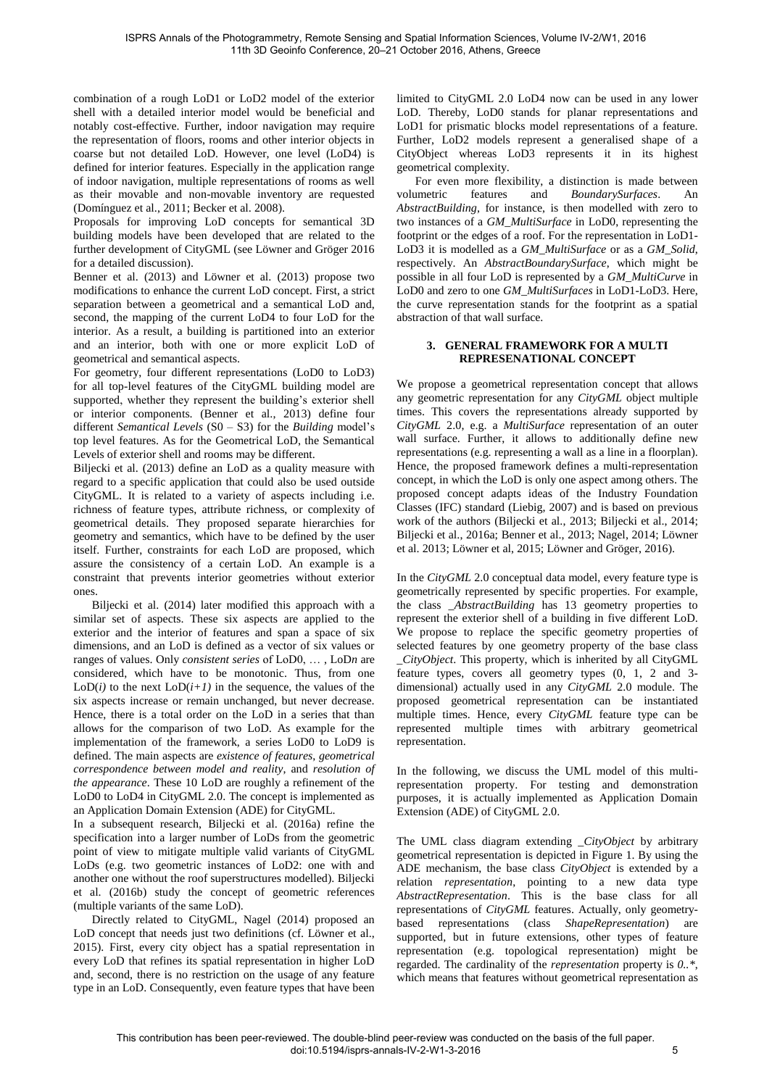combination of a rough LoD1 or LoD2 model of the exterior shell with a detailed interior model would be beneficial and notably cost-effective. Further, indoor navigation may require the representation of floors, rooms and other interior objects in coarse but not detailed LoD. However, one level (LoD4) is defined for interior features. Especially in the application range of indoor navigation, multiple representations of rooms as well as their movable and non-movable inventory are requested (Domínguez et al., 2011; Becker et al. 2008).

Proposals for improving LoD concepts for semantical 3D building models have been developed that are related to the further development of CityGML (see Löwner and Gröger 2016 for a detailed discussion).

Benner et al. (2013) and Löwner et al. (2013) propose two modifications to enhance the current LoD concept. First, a strict separation between a geometrical and a semantical LoD and, second, the mapping of the current LoD4 to four LoD for the interior. As a result, a building is partitioned into an exterior and an interior, both with one or more explicit LoD of geometrical and semantical aspects.

For geometry, four different representations (LoD0 to LoD3) for all top-level features of the CityGML building model are supported, whether they represent the building's exterior shell or interior components. (Benner et al., 2013) define four different *Semantical Levels* (S0 – S3) for the *Building* model's top level features. As for the Geometrical LoD, the Semantical Levels of exterior shell and rooms may be different.

Biljecki et al. (2013) define an LoD as a quality measure with regard to a specific application that could also be used outside CityGML. It is related to a variety of aspects including i.e. richness of feature types, attribute richness, or complexity of geometrical details. They proposed separate hierarchies for geometry and semantics, which have to be defined by the user itself. Further, constraints for each LoD are proposed, which assure the consistency of a certain LoD. An example is a constraint that prevents interior geometries without exterior ones.

Biljecki et al. (2014) later modified this approach with a similar set of aspects. These six aspects are applied to the exterior and the interior of features and span a space of six dimensions, and an LoD is defined as a vector of six values or ranges of values. Only *consistent series* of LoD0, … , LoD*n* are considered, which have to be monotonic. Thus, from one LoD( $i$ ) to the next LoD( $i+1$ ) in the sequence, the values of the six aspects increase or remain unchanged, but never decrease. Hence, there is a total order on the LoD in a series that than allows for the comparison of two LoD. As example for the implementation of the framework, a series LoD0 to LoD9 is defined. The main aspects are *existence of features*, *geometrical correspondence between model and reality*, and *resolution of the appearance*. These 10 LoD are roughly a refinement of the LoD0 to LoD4 in CityGML 2.0. The concept is implemented as an Application Domain Extension (ADE) for CityGML.

In a subsequent research, Biljecki et al. (2016a) refine the specification into a larger number of LoDs from the geometric point of view to mitigate multiple valid variants of CityGML LoDs (e.g. two geometric instances of LoD2: one with and another one without the roof superstructures modelled). Biljecki et al. (2016b) study the concept of geometric references (multiple variants of the same LoD).

Directly related to CityGML, Nagel (2014) proposed an LoD concept that needs just two definitions (cf. Löwner et al., 2015). First, every city object has a spatial representation in every LoD that refines its spatial representation in higher LoD and, second, there is no restriction on the usage of any feature type in an LoD. Consequently, even feature types that have been

limited to CityGML 2.0 LoD4 now can be used in any lower LoD. Thereby, LoD0 stands for planar representations and LoD1 for prismatic blocks model representations of a feature. Further, LoD2 models represent a generalised shape of a CityObject whereas LoD3 represents it in its highest geometrical complexity.

For even more flexibility, a distinction is made between volumetric features and *BoundarySurfaces*. An *AbstractBuilding*, for instance, is then modelled with zero to two instances of a *GM\_MultiSurface* in LoD0, representing the footprint or the edges of a roof. For the representation in LoD1- LoD3 it is modelled as a *GM\_MultiSurface* or as a *GM\_Solid*, respectively. An *AbstractBoundarySurface*, which might be possible in all four LoD is represented by a *GM\_MultiCurve* in LoD0 and zero to one *GM\_MultiSurfaces* in LoD1-LoD3. Here, the curve representation stands for the footprint as a spatial abstraction of that wall surface.

### <span id="page-2-0"></span>**3. GENERAL FRAMEWORK FOR A MULTI REPRESENATIONAL CONCEPT**

We propose a geometrical representation concept that allows any geometric representation for any *CityGML* object multiple times. This covers the representations already supported by *CityGML* 2.0, e.g. a *MultiSurface* representation of an outer wall surface. Further, it allows to additionally define new representations (e.g. representing a wall as a line in a floorplan). Hence, the proposed framework defines a multi-representation concept, in which the LoD is only one aspect among others. The proposed concept adapts ideas of the Industry Foundation Classes (IFC) standard (Liebig, 2007) and is based on previous work of the authors (Biljecki et al., 2013; Biljecki et al., 2014; Biljecki et al., 2016a; Benner et al., 2013; Nagel, 2014; Löwner et al. 2013; Löwner et al, 2015; Löwner and Gröger, 2016).

In the *CityGML* 2.0 conceptual data model, every feature type is geometrically represented by specific properties. For example, the class *\_AbstractBuilding* has 13 geometry properties to represent the exterior shell of a building in five different LoD. We propose to replace the specific geometry properties of selected features by one geometry property of the base class *\_CityObject*. This property, which is inherited by all CityGML feature types, covers all geometry types (0, 1, 2 and 3 dimensional) actually used in any *CityGML* 2.0 module. The proposed geometrical representation can be instantiated multiple times. Hence, every *CityGML* feature type can be represented multiple times with arbitrary geometrical representation.

In the following, we discuss the UML model of this multirepresentation property. For testing and demonstration purposes, it is actually implemented as Application Domain Extension (ADE) of CityGML 2.0.

The UML class diagram extending *\_CityObject* by arbitrary geometrical representation is depicted in [Figure 1.](#page-4-1) By using the ADE mechanism, the base class *CityObject* is extended by a relation *representation*, pointing to a new data type *AbstractRepresentation*. This is the base class for all representations of *CityGML* features. Actually, only geometrybased representations (class *ShapeRepresentation*) are supported, but in future extensions, other types of feature representation (e.g. topological representation) might be regarded. The cardinality of the *representation* property is *0..\**, which means that features without geometrical representation as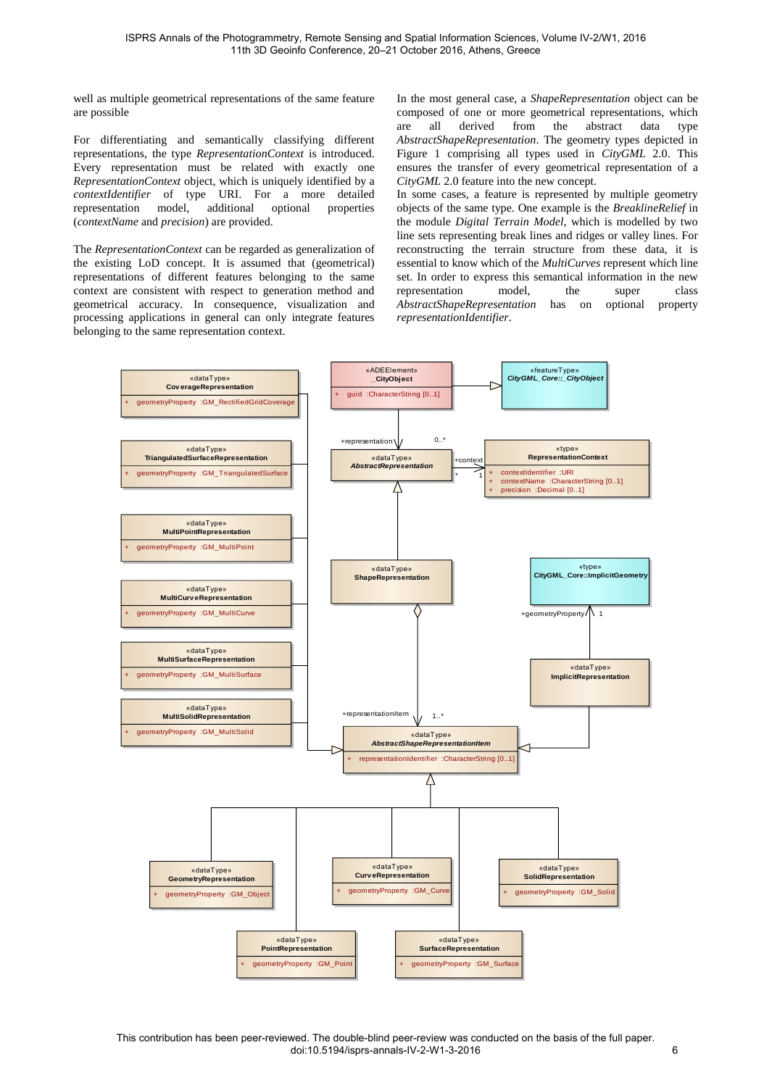well as multiple geometrical representations of the same feature are possible

For differentiating and semantically classifying different representations, the type *RepresentationContext* is introduced. Every representation must be related with exactly one *RepresentationContext* object, which is uniquely identified by a *contextIdentifier* of type URI. For a more detailed representation model, additional optional properties (*contextName* and *precision*) are provided.

The *RepresentationContext* can be regarded as generalization of the existing LoD concept. It is assumed that (geometrical) representations of different features belonging to the same context are consistent with respect to generation method and geometrical accuracy. In consequence, visualization and processing applications in general can only integrate features belonging to the same representation context.

In the most general case, a *ShapeRepresentation* object can be composed of one or more geometrical representations, which are all derived from the abstract data type *AbstractShapeRepresentation*. The geometry types depicted in [Figure 1](#page-4-1) comprising all types used in *CityGML* 2.0. This ensures the transfer of every geometrical representation of a *CityGML* 2.0 feature into the new concept.

In some cases, a feature is represented by multiple geometry objects of the same type. One example is the *BreaklineRelief* in the module *Digital Terrain Model*, which is modelled by two line sets representing break lines and ridges or valley lines. For reconstructing the terrain structure from these data, it is essential to know which of the *MultiCurves* represent which line set. In order to express this semantical information in the new representation model. the super class representation model, the super *AbstractShapeRepresentation* has on optional property *representationIdentifier*.

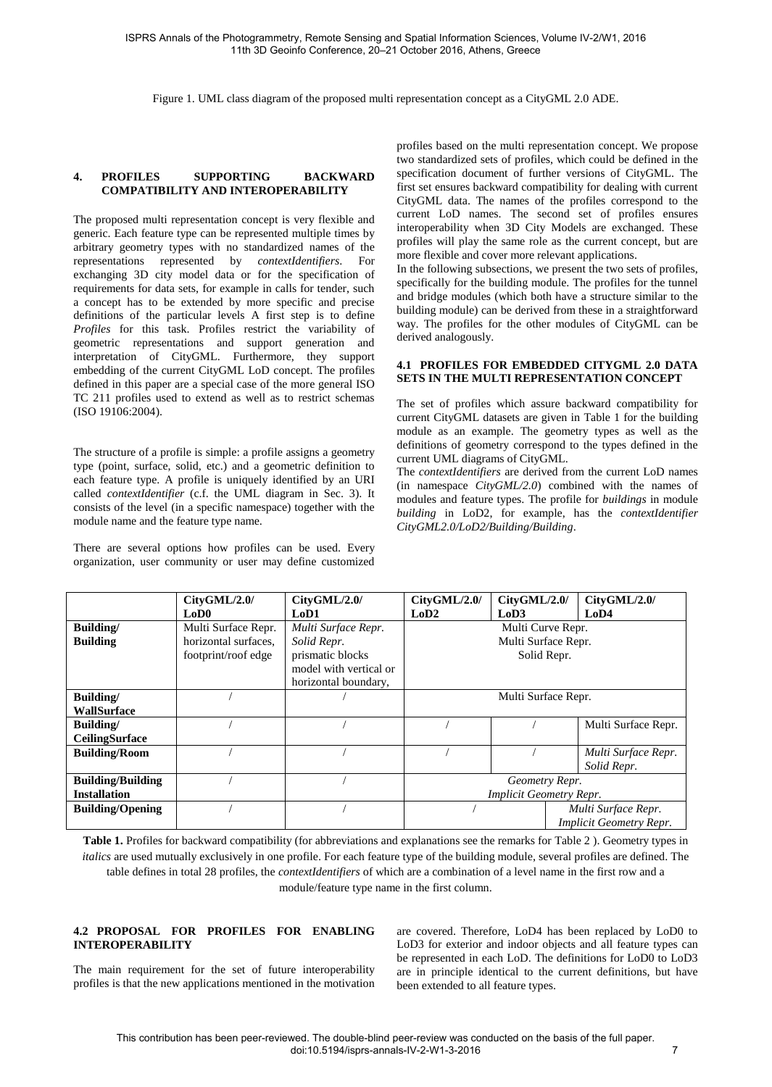Figure 1. UML class diagram of the proposed multi representation concept as a CityGML 2.0 ADE.

### <span id="page-4-1"></span><span id="page-4-0"></span>**4. PROFILES SUPPORTING BACKWARD COMPATIBILITY AND INTEROPERABILITY**

The proposed multi representation concept is very flexible and generic. Each feature type can be represented multiple times by arbitrary geometry types with no standardized names of the representations represented by *contextIdentifiers*. For exchanging 3D city model data or for the specification of requirements for data sets, for example in calls for tender, such a concept has to be extended by more specific and precise definitions of the particular levels A first step is to define *Profiles* for this task. Profiles restrict the variability of geometric representations and support generation and interpretation of CityGML. Furthermore, they support embedding of the current CityGML LoD concept. The profiles defined in this paper are a special case of the more general ISO TC 211 profiles used to extend as well as to restrict schemas [\(ISO 19106:2004\)](http://www.iso.org/iso/home/store/catalogue_tc/catalogue_detail.htm?csnumber=26011&commid=54904).

The structure of a profile is simple: a profile assigns a geometry type (point, surface, solid, etc.) and a geometric definition to each feature type. A profile is uniquely identified by an URI called *contextIdentifier* (c.f. the UML diagram in Sec. [3\)](#page-2-0). It consists of the level (in a specific namespace) together with the module name and the feature type name.

There are several options how profiles can be used. Every organization, user community or user may define customized profiles based on the multi representation concept. We propose two standardized sets of profiles, which could be defined in the specification document of further versions of CityGML. The first set ensures backward compatibility for dealing with current CityGML data. The names of the profiles correspond to the current LoD names. The second set of profiles ensures interoperability when 3D City Models are exchanged. These profiles will play the same role as the current concept, but are more flexible and cover more relevant applications.

In the following subsections, we present the two sets of profiles, specifically for the building module. The profiles for the tunnel and bridge modules (which both have a structure similar to the building module) can be derived from these in a straightforward way. The profiles for the other modules of CityGML can be derived analogously.

#### <span id="page-4-2"></span>**4.1 PROFILES FOR EMBEDDED CITYGML 2.0 DATA SETS IN THE MULTI REPRESENTATION CONCEPT**

The set of profiles which assure backward compatibility for current CityGML datasets are given in Table 1 for the building module as an example. The geometry types as well as the definitions of geometry correspond to the types defined in the current UML diagrams of CityGML.

The *contextIdentifiers* are derived from the current LoD names (in namespace *CityGML/2.0*) combined with the names of modules and feature types. The profile for *buildings* in module *building* in LoD2, for example, has the *contextIdentifier CityGML2.0/LoD2/Building/Building*.

|                          | CityGML/2.0/         | CityGML/2.0/           | CityGML/2.0/                   | CityGML/2.0/ | CityGML/2.0/                   |
|--------------------------|----------------------|------------------------|--------------------------------|--------------|--------------------------------|
|                          | LoD0                 | LoD1                   | LoD <sub>2</sub>               | LoD3         | LoD4                           |
| Building/                | Multi Surface Repr.  | Multi Surface Repr.    | Multi Curve Repr.              |              |                                |
| <b>Building</b>          | horizontal surfaces. | Solid Repr.            | Multi Surface Repr.            |              |                                |
|                          | footprint/roof edge  | prismatic blocks       | Solid Repr.                    |              |                                |
|                          |                      | model with vertical or |                                |              |                                |
|                          |                      | horizontal boundary,   |                                |              |                                |
| <b>Building/</b>         |                      |                        | Multi Surface Repr.            |              |                                |
| <b>WallSurface</b>       |                      |                        |                                |              |                                |
| <b>Building</b>          |                      |                        |                                |              | Multi Surface Repr.            |
| <b>CeilingSurface</b>    |                      |                        |                                |              |                                |
| <b>Building/Room</b>     |                      |                        |                                |              | Multi Surface Repr.            |
|                          |                      |                        |                                |              | Solid Repr.                    |
| <b>Building/Building</b> |                      |                        | Geometry Repr.                 |              |                                |
| <b>Installation</b>      |                      |                        | <b>Implicit Geometry Repr.</b> |              |                                |
| <b>Building/Opening</b>  |                      |                        |                                |              | Multi Surface Repr.            |
|                          |                      |                        |                                |              | <b>Implicit Geometry Repr.</b> |

<span id="page-4-4"></span>**Table 1.** Profiles for backward compatibility (for abbreviations and explanations see the remarks for Table 2 ). Geometry types in *italics* are used mutually exclusively in one profile. For each feature type of the building module, several profiles are defined. The table defines in total 28 profiles, the *contextIdentifiers* of which are a combination of a level name in the first row and a module/feature type name in the first column.

## <span id="page-4-3"></span>**4.2 PROPOSAL FOR PROFILES FOR ENABLING INTEROPERABILITY**

The main requirement for the set of future interoperability profiles is that the new applications mentioned in the motivation are covered. Therefore, LoD4 has been replaced by LoD0 to LoD3 for exterior and indoor objects and all feature types can be represented in each LoD. The definitions for LoD0 to LoD3 are in principle identical to the current definitions, but have been extended to all feature types.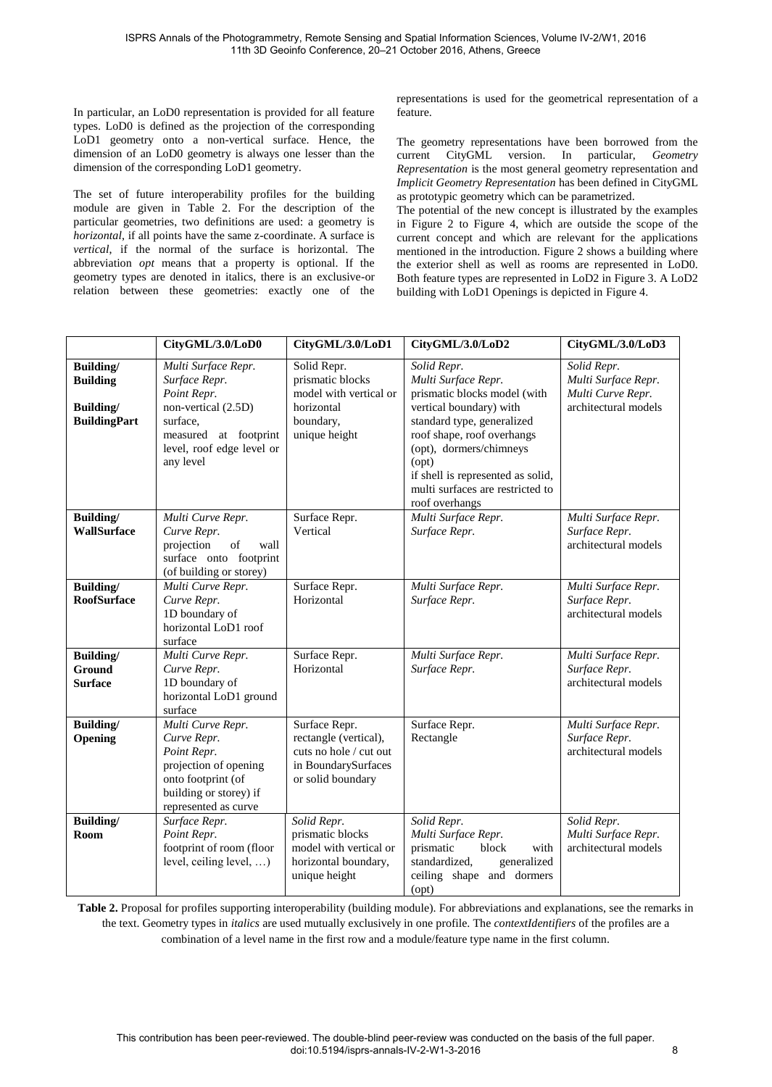In particular, an LoD0 representation is provided for all feature types. LoD0 is defined as the projection of the corresponding LoD1 geometry onto a non-vertical surface. Hence, the dimension of an LoD0 geometry is always one lesser than the dimension of the corresponding LoD1 geometry.

The set of future interoperability profiles for the building module are given in [Table 2.](#page-5-0) For the description of the particular geometries, two definitions are used: a geometry is *horizontal*, if all points have the same z-coordinate. A surface is *vertical*, if the normal of the surface is horizontal. The abbreviation *opt* means that a property is optional. If the geometry types are denoted in italics, there is an exclusive-or relation between these geometries: exactly one of the

representations is used for the geometrical representation of a feature.

The geometry representations have been borrowed from the current CityGML version. In particular, *Geometry Representation* is the most general geometry representation and *Implicit Geometry Representation* has been defined in CityGML as prototypic geometry which can be parametrized.

The potential of the new concept is illustrated by the examples in [Figure 2](#page-6-0) to [Figure 4,](#page-6-1) which are outside the scope of the current concept and which are relevant for the applications mentioned in the introduction. [Figure 2](#page-6-0) shows a building where the exterior shell as well as rooms are represented in LoD0. Both feature types are represented in LoD2 in Figure 3. A LoD2 building with LoD1 Openings is depicted i[n Figure 4.](#page-6-1)

|                                                                  | CityGML/3.0/LoD0                                                                                                                                          | CityGML/3.0/LoD1                                                                                             | CityGML/3.0/LoD2                                                                                                                                                                                                                                                                         | CityGML/3.0/LoD3                                                                |
|------------------------------------------------------------------|-----------------------------------------------------------------------------------------------------------------------------------------------------------|--------------------------------------------------------------------------------------------------------------|------------------------------------------------------------------------------------------------------------------------------------------------------------------------------------------------------------------------------------------------------------------------------------------|---------------------------------------------------------------------------------|
| Building/<br><b>Building</b><br>Building/<br><b>BuildingPart</b> | Multi Surface Repr.<br>Surface Repr.<br>Point Repr.<br>non-vertical (2.5D)<br>surface,<br>measured at footprint<br>level, roof edge level or<br>any level | Solid Repr.<br>prismatic blocks<br>model with vertical or<br>horizontal<br>boundary,<br>unique height        | Solid Repr.<br>Multi Surface Repr.<br>prismatic blocks model (with<br>vertical boundary) with<br>standard type, generalized<br>roof shape, roof overhangs<br>(opt), dormers/chimneys<br>(opt)<br>if shell is represented as solid,<br>multi surfaces are restricted to<br>roof overhangs | Solid Repr.<br>Multi Surface Repr.<br>Multi Curve Repr.<br>architectural models |
| Building/<br><b>WallSurface</b>                                  | Multi Curve Repr.<br>Curve Repr.<br>projection<br>of<br>wall<br>surface onto footprint<br>(of building or storey)                                         | Surface Repr.<br>Vertical                                                                                    | Multi Surface Repr.<br>Surface Repr.                                                                                                                                                                                                                                                     | Multi Surface Repr.<br>Surface Repr.<br>architectural models                    |
| Building/<br><b>RoofSurface</b>                                  | Multi Curve Repr.<br>Curve Repr.<br>1D boundary of<br>horizontal LoD1 roof<br>surface                                                                     | Surface Repr.<br>Horizontal                                                                                  | Multi Surface Repr.<br>Surface Repr.                                                                                                                                                                                                                                                     | Multi Surface Repr.<br>Surface Repr.<br>architectural models                    |
| Building/<br><b>Ground</b><br><b>Surface</b>                     | Multi Curve Repr.<br>Curve Repr.<br>1D boundary of<br>horizontal LoD1 ground<br>surface                                                                   | Surface Repr.<br>Horizontal                                                                                  | Multi Surface Repr.<br>Surface Repr.                                                                                                                                                                                                                                                     | Multi Surface Repr.<br>Surface Repr.<br>architectural models                    |
| Building/<br>Opening                                             | Multi Curve Repr.<br>Curve Repr.<br>Point Repr.<br>projection of opening<br>onto footprint (of<br>building or storey) if<br>represented as curve          | Surface Repr.<br>rectangle (vertical),<br>cuts no hole / cut out<br>in BoundarySurfaces<br>or solid boundary | Surface Repr.<br>Rectangle                                                                                                                                                                                                                                                               | Multi Surface Repr.<br>Surface Repr.<br>architectural models                    |
| Building/<br>Room                                                | Surface Repr.<br>Point Repr.<br>footprint of room (floor<br>level, ceiling level, )                                                                       | Solid Repr.<br>prismatic blocks<br>model with vertical or<br>horizontal boundary,<br>unique height           | Solid Repr.<br>Multi Surface Repr.<br>prismatic<br>with<br>block<br>standardized,<br>generalized<br>ceiling shape and dormers<br>(opt)                                                                                                                                                   | Solid Repr.<br>Multi Surface Repr.<br>architectural models                      |

<span id="page-5-0"></span>**Table 2.** Proposal for profiles supporting interoperability (building module). For abbreviations and explanations, see the remarks in the text. Geometry types in *italics* are used mutually exclusively in one profile. The *contextIdentifiers* of the profiles are a combination of a level name in the first row and a module/feature type name in the first column.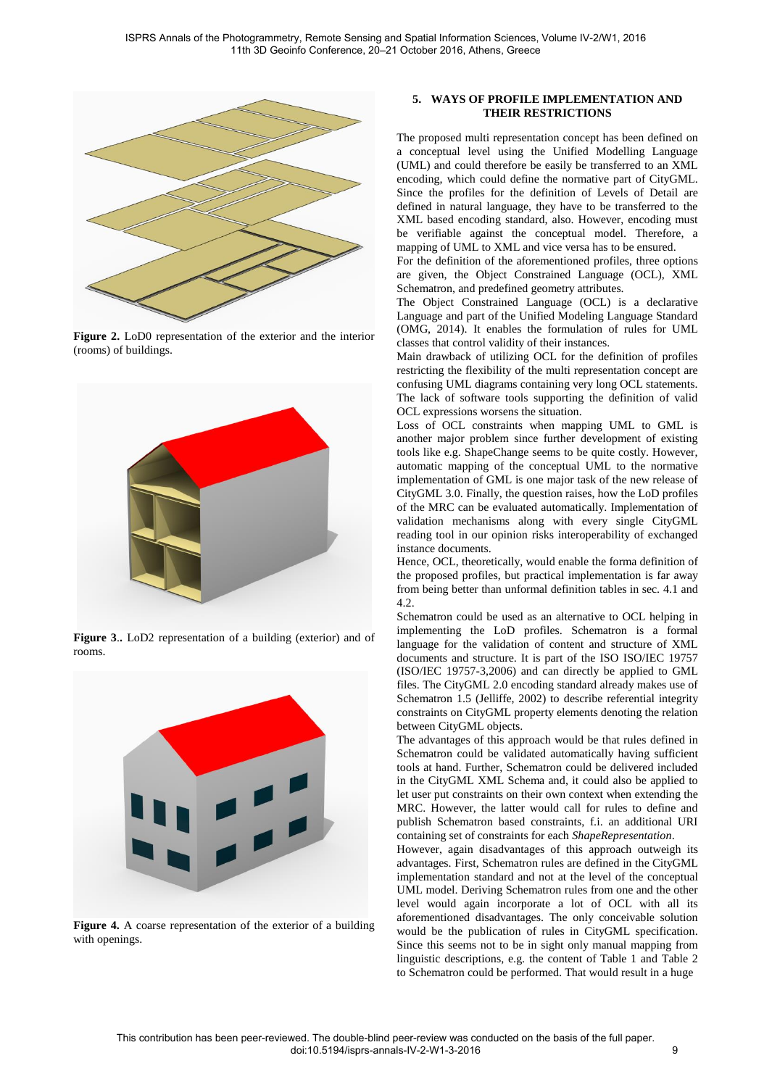

<span id="page-6-0"></span>**Figure 2.** LoD0 representation of the exterior and the interior (rooms) of buildings.



**Figure 3**.**.** LoD2 representation of a building (exterior) and of rooms.



<span id="page-6-1"></span>**Figure 4.** A coarse representation of the exterior of a building with openings.

## **5. WAYS OF PROFILE IMPLEMENTATION AND THEIR RESTRICTIONS**

The proposed multi representation concept has been defined on a conceptual level using the Unified Modelling Language (UML) and could therefore be easily be transferred to an XML encoding, which could define the normative part of CityGML. Since the profiles for the definition of Levels of Detail are defined in natural language, they have to be transferred to the XML based encoding standard, also. However, encoding must be verifiable against the conceptual model. Therefore, a mapping of UML to XML and vice versa has to be ensured.

For the definition of the aforementioned profiles, three options are given, the Object Constrained Language (OCL), XML Schematron, and predefined geometry attributes.

The Object Constrained Language (OCL) is a declarative Language and part of the Unified Modeling Language Standard (OMG, 2014). It enables the formulation of rules for UML classes that control validity of their instances.

Main drawback of utilizing OCL for the definition of profiles restricting the flexibility of the multi representation concept are confusing UML diagrams containing very long OCL statements. The lack of software tools supporting the definition of valid OCL expressions worsens the situation.

Loss of OCL constraints when mapping UML to GML is another major problem since further development of existing tools like e.g. ShapeChange seems to be quite costly. However, automatic mapping of the conceptual UML to the normative implementation of GML is one major task of the new release of CityGML 3.0. Finally, the question raises, how the LoD profiles of the MRC can be evaluated automatically. Implementation of validation mechanisms along with every single CityGML reading tool in our opinion risks interoperability of exchanged instance documents.

Hence, OCL, theoretically, would enable the forma definition of the proposed profiles, but practical implementation is far away from being better than unformal definition tables in sec. [4.1](#page-4-2) and [4.2.](#page-4-3) 

Schematron could be used as an alternative to OCL helping in implementing the LoD profiles. Schematron is a formal language for the validation of content and structure of XML documents and structure. It is part of the ISO ISO/IEC 19757 (ISO/IEC 19757-3,2006) and can directly be applied to GML files. The CityGML 2.0 encoding standard already makes use of Schematron 1.5 (Jelliffe, 2002) to describe referential integrity constraints on CityGML property elements denoting the relation between CityGML objects.

The advantages of this approach would be that rules defined in Schematron could be validated automatically having sufficient tools at hand. Further, Schematron could be delivered included in the CityGML XML Schema and, it could also be applied to let user put constraints on their own context when extending the MRC. However, the latter would call for rules to define and publish Schematron based constraints, f.i. an additional URI containing set of constraints for each *ShapeRepresentation*.

However, again disadvantages of this approach outweigh its advantages. First, Schematron rules are defined in the CityGML implementation standard and not at the level of the conceptual UML model. Deriving Schematron rules from one and the other level would again incorporate a lot of OCL with all its aforementioned disadvantages. The only conceivable solution would be the publication of rules in CityGML specification. Since this seems not to be in sight only manual mapping from linguistic descriptions, e.g. the content of [Table 1](#page-4-4) and [Table 2](#page-5-0) to Schematron could be performed. That would result in a huge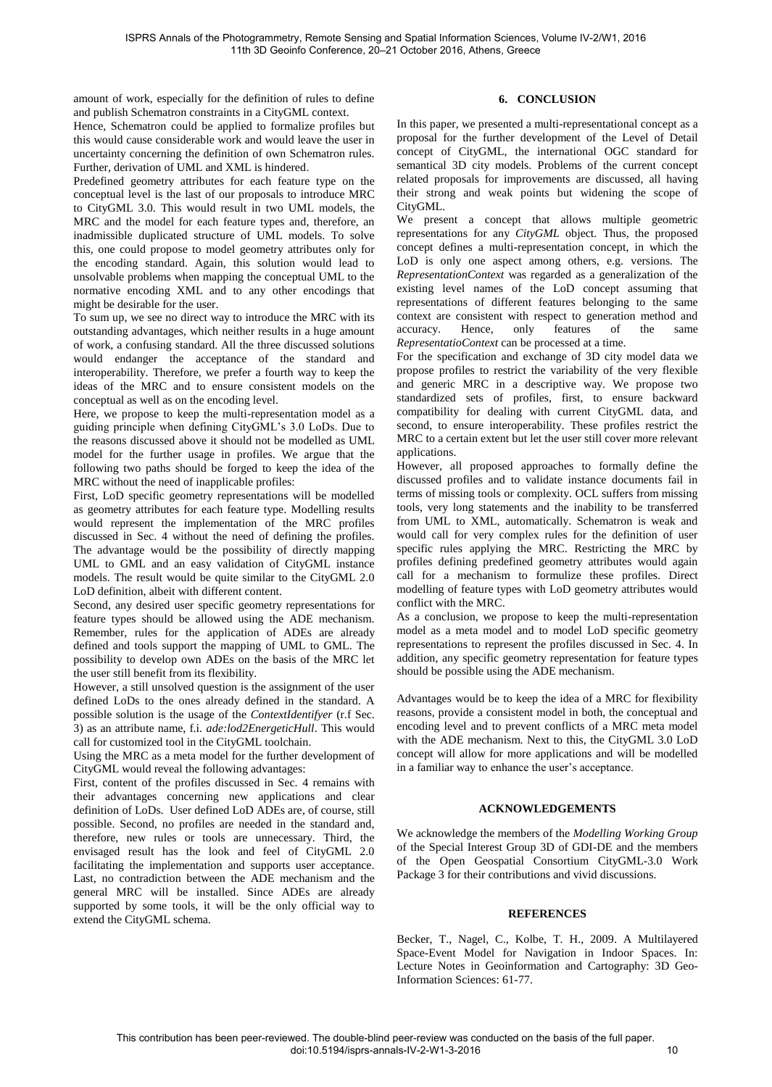amount of work, especially for the definition of rules to define and publish Schematron constraints in a CityGML context.

Hence, Schematron could be applied to formalize profiles but this would cause considerable work and would leave the user in uncertainty concerning the definition of own Schematron rules. Further, derivation of UML and XML is hindered.

Predefined geometry attributes for each feature type on the conceptual level is the last of our proposals to introduce MRC to CityGML 3.0. This would result in two UML models, the MRC and the model for each feature types and, therefore, an inadmissible duplicated structure of UML models. To solve this, one could propose to model geometry attributes only for the encoding standard. Again, this solution would lead to unsolvable problems when mapping the conceptual UML to the normative encoding XML and to any other encodings that might be desirable for the user.

To sum up, we see no direct way to introduce the MRC with its outstanding advantages, which neither results in a huge amount of work, a confusing standard. All the three discussed solutions would endanger the acceptance of the standard and interoperability. Therefore, we prefer a fourth way to keep the ideas of the MRC and to ensure consistent models on the conceptual as well as on the encoding level.

Here, we propose to keep the multi-representation model as a guiding principle when defining CityGML's 3.0 LoDs. Due to the reasons discussed above it should not be modelled as UML model for the further usage in profiles. We argue that the following two paths should be forged to keep the idea of the MRC without the need of inapplicable profiles:

First, LoD specific geometry representations will be modelled as geometry attributes for each feature type. Modelling results would represent the implementation of the MRC profiles discussed in Sec. [4](#page-4-0) without the need of defining the profiles. The advantage would be the possibility of directly mapping UML to GML and an easy validation of CityGML instance models. The result would be quite similar to the CityGML 2.0 LoD definition, albeit with different content.

Second, any desired user specific geometry representations for feature types should be allowed using the ADE mechanism. Remember, rules for the application of ADEs are already defined and tools support the mapping of UML to GML. The possibility to develop own ADEs on the basis of the MRC let the user still benefit from its flexibility.

However, a still unsolved question is the assignment of the user defined LoDs to the ones already defined in the standard. A possible solution is the usage of the *ContextIdentifyer* (r.f Sec. [3\)](#page-2-0) as an attribute name, f.i. *ade:lod2EnergeticHull*. This would call for customized tool in the CityGML toolchain.

Using the MRC as a meta model for the further development of CityGML would reveal the following advantages:

First, content of the profiles discussed in Sec. [4](#page-4-0) remains with their advantages concerning new applications and clear definition of LoDs. User defined LoD ADEs are, of course, still possible. Second, no profiles are needed in the standard and, therefore, new rules or tools are unnecessary. Third, the envisaged result has the look and feel of CityGML 2.0 facilitating the implementation and supports user acceptance. Last, no contradiction between the ADE mechanism and the general MRC will be installed. Since ADEs are already supported by some tools, it will be the only official way to extend the CityGML schema.

## **6. CONCLUSION**

<span id="page-7-0"></span>In this paper, we presented a multi-representational concept as a proposal for the further development of the Level of Detail concept of CityGML, the international OGC standard for semantical 3D city models. Problems of the current concept related proposals for improvements are discussed, all having their strong and weak points but widening the scope of CityGML.

We present a concept that allows multiple geometric representations for any *CityGML* object. Thus, the proposed concept defines a multi-representation concept, in which the LoD is only one aspect among others, e.g. versions. The *RepresentationContext* was regarded as a generalization of the existing level names of the LoD concept assuming that representations of different features belonging to the same context are consistent with respect to generation method and accuracy. Hence, only features of the same *RepresentatioContext* can be processed at a time.

For the specification and exchange of 3D city model data we propose profiles to restrict the variability of the very flexible and generic MRC in a descriptive way. We propose two standardized sets of profiles, first, to ensure backward compatibility for dealing with current CityGML data, and second, to ensure interoperability. These profiles restrict the MRC to a certain extent but let the user still cover more relevant applications.

However, all proposed approaches to formally define the discussed profiles and to validate instance documents fail in terms of missing tools or complexity. OCL suffers from missing tools, very long statements and the inability to be transferred from UML to XML, automatically. Schematron is weak and would call for very complex rules for the definition of user specific rules applying the MRC. Restricting the MRC by profiles defining predefined geometry attributes would again call for a mechanism to formulize these profiles. Direct modelling of feature types with LoD geometry attributes would conflict with the MRC.

As a conclusion, we propose to keep the multi-representation model as a meta model and to model LoD specific geometry representations to represent the profiles discussed in Sec. [4.](#page-4-0) In addition, any specific geometry representation for feature types should be possible using the ADE mechanism.

Advantages would be to keep the idea of a MRC for flexibility reasons, provide a consistent model in both, the conceptual and encoding level and to prevent conflicts of a MRC meta model with the ADE mechanism. Next to this, the CityGML 3.0 LoD concept will allow for more applications and will be modelled in a familiar way to enhance the user's acceptance.

## **ACKNOWLEDGEMENTS**

We acknowledge the members of the *Modelling Working Group* of the Special Interest Group 3D of GDI-DE and the members of the Open Geospatial Consortium CityGML-3.0 Work Package 3 for their contributions and vivid discussions.

#### **REFERENCES**

Becker, T., Nagel, C., Kolbe, T. H., 2009. A Multilayered Space-Event Model for Navigation in Indoor Spaces. In: Lecture Notes in Geoinformation and Cartography: 3D Geo-Information Sciences: 61-77.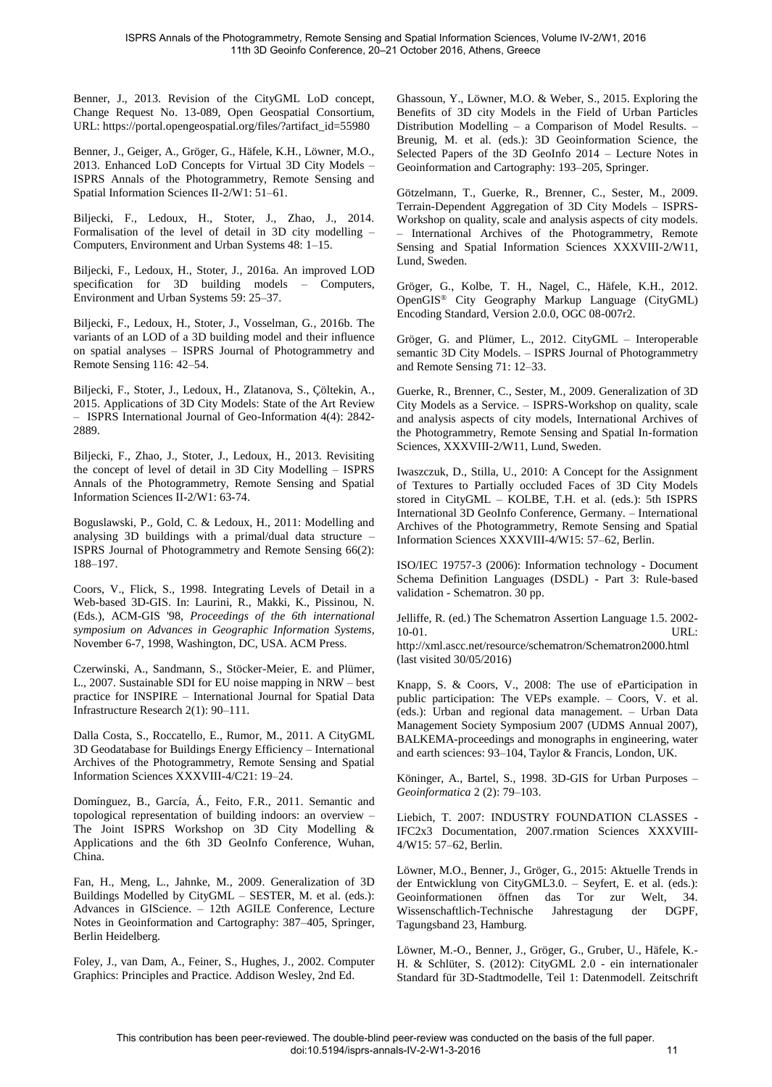Benner, J., 2013. Revision of the CityGML LoD concept, Change Request No. 13-089, Open Geospatial Consortium, URL: https://portal.opengeospatial.org/files/?artifact\_id=55980

Benner, J., Geiger, A., Gröger, G., Häfele, K.H., Löwner, M.O., 2013. Enhanced LoD Concepts for Virtual 3D City Models – ISPRS Annals of the Photogrammetry, Remote Sensing and Spatial Information Sciences II-2/W1: 51–61.

Biljecki, F., Ledoux, H., Stoter, J., Zhao, J., 2014. Formalisation of the level of detail in 3D city modelling – Computers, Environment and Urban Systems 48: 1–15.

Biljecki, F., Ledoux, H., Stoter, J., 2016a. An improved LOD specification for 3D building models – Computers, Environment and Urban Systems 59: 25–37.

Biljecki, F., Ledoux, H., Stoter, J., Vosselman, G., 2016b. The variants of an LOD of a 3D building model and their influence on spatial analyses – ISPRS Journal of Photogrammetry and Remote Sensing 116: 42–54.

Biljecki, F., Stoter, J., Ledoux, H., Zlatanova, S., Çöltekin, A., 2015. Applications of 3D City Models: State of the Art Review – ISPRS International Journal of Geo-Information 4(4): 2842- 2889.

Biljecki, F., Zhao, J., Stoter, J., Ledoux, H., 2013. Revisiting the concept of level of detail in 3D City Modelling – ISPRS Annals of the Photogrammetry, Remote Sensing and Spatial Information Sciences II-2/W1: 63-74.

Boguslawski, P., Gold, C. & Ledoux, H., 2011: Modelling and analysing 3D buildings with a primal/dual data structure – ISPRS Journal of Photogrammetry and Remote Sensing 66(2): 188–197.

Coors, V., Flick, S., 1998. Integrating Levels of Detail in a Web-based 3D-GIS. In: Laurini, R., Makki, K., Pissinou, N. (Eds.), ACM-GIS '98, *Proceedings of the 6th international symposium on Advances in Geographic Information Systems*, November 6-7, 1998, Washington, DC, USA. ACM Press.

Czerwinski, A., Sandmann, S., Stöcker-Meier, E. and Plümer, L., 2007. Sustainable SDI for EU noise mapping in NRW – best practice for INSPIRE – International Journal for Spatial Data Infrastructure Research 2(1): 90–111.

Dalla Costa, S., Roccatello, E., Rumor, M., 2011. A CityGML 3D Geodatabase for Buildings Energy Efficiency – International Archives of the Photogrammetry, Remote Sensing and Spatial Information Sciences XXXVIII-4/C21: 19–24.

Domínguez, B., García, Á., Feito, F.R., 2011. Semantic and topological representation of building indoors: an overview – The Joint ISPRS Workshop on 3D City Modelling & Applications and the 6th 3D GeoInfo Conference, Wuhan, China.

Fan, H., Meng, L., Jahnke, M., 2009. Generalization of 3D Buildings Modelled by CityGML – SESTER, M. et al. (eds.): Advances in GIScience. – 12th AGILE Conference, Lecture Notes in Geoinformation and Cartography: 387–405, Springer, Berlin Heidelberg.

Foley, J., van Dam, A., Feiner, S., Hughes, J., 2002. Computer Graphics: Principles and Practice. Addison Wesley, 2nd Ed.

Ghassoun, Y., Löwner, M.O. & Weber, S., 2015. Exploring the Benefits of 3D city Models in the Field of Urban Particles Distribution Modelling – a Comparison of Model Results. – Breunig, M. et al. (eds.): 3D Geoinformation Science, the Selected Papers of the 3D GeoInfo 2014 – Lecture Notes in Geoinformation and Cartography: 193–205, Springer.

Götzelmann, T., Guerke, R., Brenner, C., Sester, M., 2009. Terrain-Dependent Aggregation of 3D City Models – ISPRS-Workshop on quality, scale and analysis aspects of city models. – International Archives of the Photogrammetry, Remote Sensing and Spatial Information Sciences XXXVIII-2/W11, Lund, Sweden.

Gröger, G., Kolbe, T. H., Nagel, C., Häfele, K.H., 2012. OpenGIS® City Geography Markup Language (CityGML) Encoding Standard, Version 2.0.0, OGC 08-007r2.

Gröger, G. and Plümer, L., 2012. CityGML – Interoperable semantic 3D City Models. – ISPRS Journal of Photogrammetry and Remote Sensing 71: 12–33.

Guerke, R., Brenner, C., Sester, M., 2009. Generalization of 3D City Models as a Service. – ISPRS-Workshop on quality, scale and analysis aspects of city models, International Archives of the Photogrammetry, Remote Sensing and Spatial In-formation Sciences, XXXVIII-2/W11, Lund, Sweden.

Iwaszczuk, D., Stilla, U., 2010: A Concept for the Assignment of Textures to Partially occluded Faces of 3D City Models stored in CityGML – KOLBE, T.H. et al. (eds.): 5th ISPRS International 3D GeoInfo Conference, Germany. – International Archives of the Photogrammetry, Remote Sensing and Spatial Information Sciences XXXVIII-4/W15: 57–62, Berlin.

ISO/IEC 19757-3 (2006): Information technology - Document Schema Definition Languages (DSDL) - Part 3: Rule-based validation - Schematron. 30 pp.

Jelliffe, R. (ed.) The Schematron Assertion Language 1.5. 2002- 10-01. URL:

http://xml.ascc.net/resource/schematron/Schematron2000.html (last visited 30/05/2016)

Knapp, S. & Coors, V., 2008: The use of eParticipation in public participation: The VEPs example. – Coors, V. et al. (eds.): Urban and regional data management. – Urban Data Management Society Symposium 2007 (UDMS Annual 2007), BALKEMA-proceedings and monographs in engineering, water and earth sciences: 93–104, Taylor & Francis, London, UK.

Köninger, A., Bartel, S., 1998. 3D-GIS for Urban Purposes – *Geoinformatica* 2 (2): 79–103.

Liebich, T. 2007: INDUSTRY FOUNDATION CLASSES - IFC2x3 Documentation, 2007.rmation Sciences XXXVIII-4/W15: 57–62, Berlin.

Löwner, M.O., Benner, J., Gröger, G., 2015: Aktuelle Trends in der Entwicklung von CityGML3.0. – Seyfert, E. et al. (eds.): Geoinformationen öffnen das Tor zur Welt, 34. Wissenschaftlich-Technische Jahrestagung der DGPF, Tagungsband 23, Hamburg.

Löwner, M.-O., Benner, J., Gröger, G., Gruber, U., Häfele, K.- H. & Schlüter, S. (2012): CityGML 2.0 - ein internationaler Standard für 3D-Stadtmodelle, Teil 1: Datenmodell. Zeitschrift